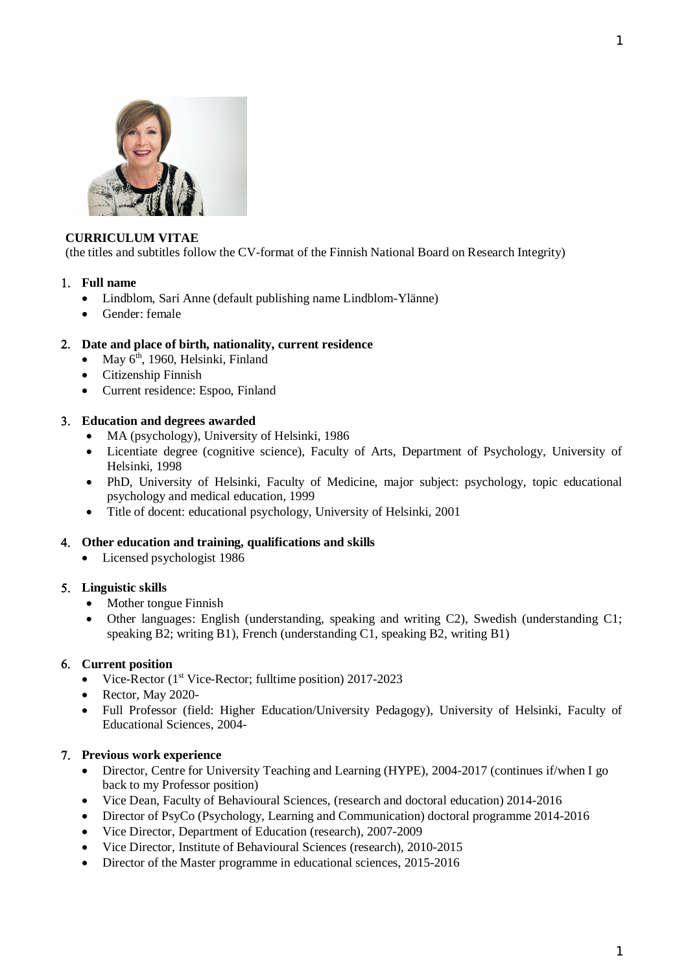

### **CURRICULUM VITAE**

(the titles and subtitles follow the CV-format of the Finnish National Board on Research Integrity)

### **Full name**

- Lindblom, Sari Anne (default publishing name Lindblom-Ylänne)
- Gender: female

## **Date and place of birth, nationality, current residence**

- May 6<sup>th</sup>, 1960, Helsinki, Finland
- Citizenship Finnish
- Current residence: Espoo, Finland

### **Education and degrees awarded**

- MA (psychology), University of Helsinki, 1986
- Licentiate degree (cognitive science), Faculty of Arts, Department of Psychology, University of Helsinki, 1998
- PhD, University of Helsinki, Faculty of Medicine, major subject: psychology, topic educational psychology and medical education, 1999
- Title of docent: educational psychology, University of Helsinki, 2001

#### **Other education and training, qualifications and skills**

• Licensed psychologist 1986

## **Linguistic skills**

- Mother tongue Finnish
- Other languages: English (understanding, speaking and writing C2), Swedish (understanding C1; speaking B2; writing B1), French (understanding C1, speaking B2, writing B1)

## **Current position**

- Vice-Rector (1<sup>st</sup> Vice-Rector; fulltime position) 2017-2023
- Rector, May 2020-
- Full Professor (field: Higher Education/University Pedagogy), University of Helsinki, Faculty of Educational Sciences, 2004-

## **Previous work experience**

- Director, Centre for University Teaching and Learning (HYPE), 2004-2017 (continues if/when I go back to my Professor position)
- Vice Dean, Faculty of Behavioural Sciences, (research and doctoral education) 2014-2016
- Director of PsyCo (Psychology, Learning and Communication) doctoral programme 2014-2016
- Vice Director, Department of Education (research), 2007-2009
- Vice Director, Institute of Behavioural Sciences (research), 2010-2015
- Director of the Master programme in educational sciences, 2015-2016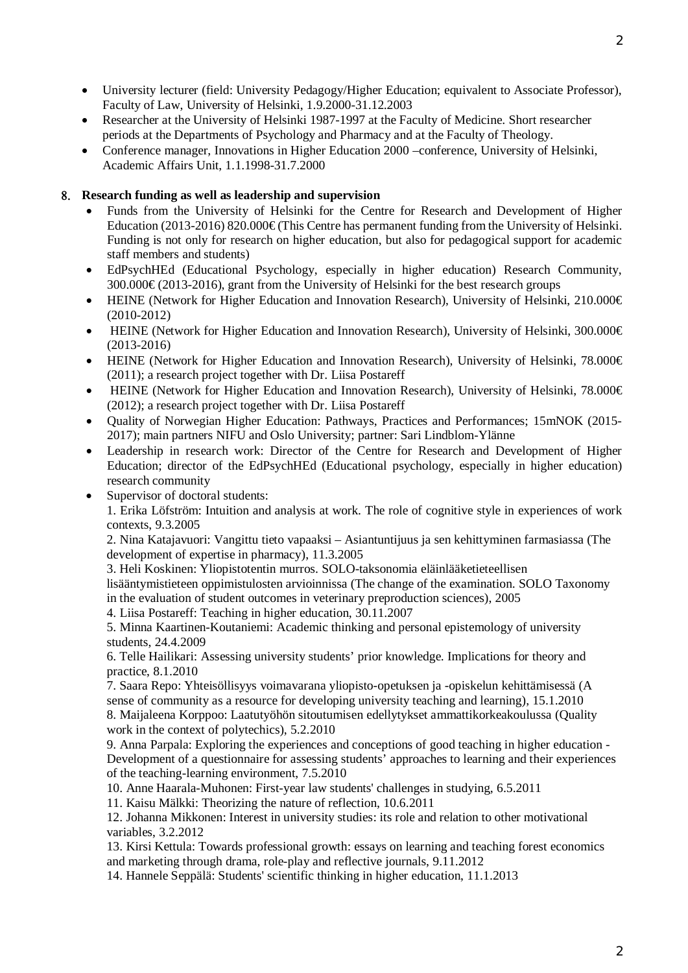- University lecturer (field: University Pedagogy/Higher Education; equivalent to Associate Professor), Faculty of Law, University of Helsinki, 1.9.2000-31.12.2003
- Researcher at the University of Helsinki 1987-1997 at the Faculty of Medicine. Short researcher periods at the Departments of Psychology and Pharmacy and at the Faculty of Theology.
- Conference manager, Innovations in Higher Education 2000 –conference, University of Helsinki, Academic Affairs Unit, 1.1.1998-31.7.2000

# **Research funding as well as leadership and supervision**

- Funds from the University of Helsinki for the Centre for Research and Development of Higher Education (2013-2016) 820.000€ (This Centre has permanent funding from the University of Helsinki. Funding is not only for research on higher education, but also for pedagogical support for academic staff members and students)
- EdPsychHEd (Educational Psychology, especially in higher education) Research Community,  $300.000 \in (2013-2016)$ , grant from the University of Helsinki for the best research groups
- HEINE (Network for Higher Education and Innovation Research), University of Helsinki, 210,000 $\epsilon$ (2010-2012)
- HEINE (Network for Higher Education and Innovation Research), University of Helsinki, 300.000€ (2013-2016)
- HEINE (Network for Higher Education and Innovation Research), University of Helsinki, 78.000€ (2011); a research project together with Dr. Liisa Postareff
- HEINE (Network for Higher Education and Innovation Research), University of Helsinki, 78.000€ (2012); a research project together with Dr. Liisa Postareff
- Ouality of Norwegian Higher Education: Pathways, Practices and Performances; 15mNOK (2015-2017); main partners NIFU and Oslo University; partner: Sari Lindblom-Ylänne
- Leadership in research work: Director of the Centre for Research and Development of Higher Education; director of the EdPsychHEd (Educational psychology, especially in higher education) research community
- Supervisor of doctoral students:

1. Erika Löfström: Intuition and analysis at work. The role of cognitive style in experiences of work contexts, 9.3.2005

2. Nina Katajavuori: Vangittu tieto vapaaksi – Asiantuntijuus ja sen kehittyminen farmasiassa (The development of expertise in pharmacy), 11.3.2005

3. Heli Koskinen: Yliopistotentin murros. SOLO-taksonomia eläinlääketieteellisen

lisääntymistieteen oppimistulosten arvioinnissa (The change of the examination. SOLO Taxonomy in the evaluation of student outcomes in veterinary preproduction sciences), 2005

4. Liisa Postareff: Teaching in higher education, 30.11.2007

5. Minna Kaartinen-Koutaniemi: Academic thinking and personal epistemology of university students, 24.4.2009

6. Telle Hailikari: Assessing university students' prior knowledge. Implications for theory and practice, 8.1.2010

7. Saara Repo: Yhteisöllisyys voimavarana yliopisto-opetuksen ja -opiskelun kehittämisessä (A sense of community as a resource for developing university teaching and learning), 15.1.2010 8. Maijaleena Korppoo: Laatutyöhön sitoutumisen edellytykset ammattikorkeakoulussa (Quality work in the context of polytechics), 5.2.2010

9. Anna Parpala: Exploring the experiences and conceptions of good teaching in higher education - Development of a questionnaire for assessing students' approaches to learning and their experiences of the teaching-learning environment, 7.5.2010

10. Anne Haarala-Muhonen: First-year law students' challenges in studying, 6.5.2011

11. Kaisu Mälkki: Theorizing the nature of reflection, 10.6.2011

12. Johanna Mikkonen: Interest in university studies: its role and relation to other motivational variables, 3.2.2012

13. Kirsi Kettula: Towards professional growth: essays on learning and teaching forest economics and marketing through drama, role-play and reflective journals, 9.11.2012

14. Hannele Seppälä: Students' scientific thinking in higher education, 11.1.2013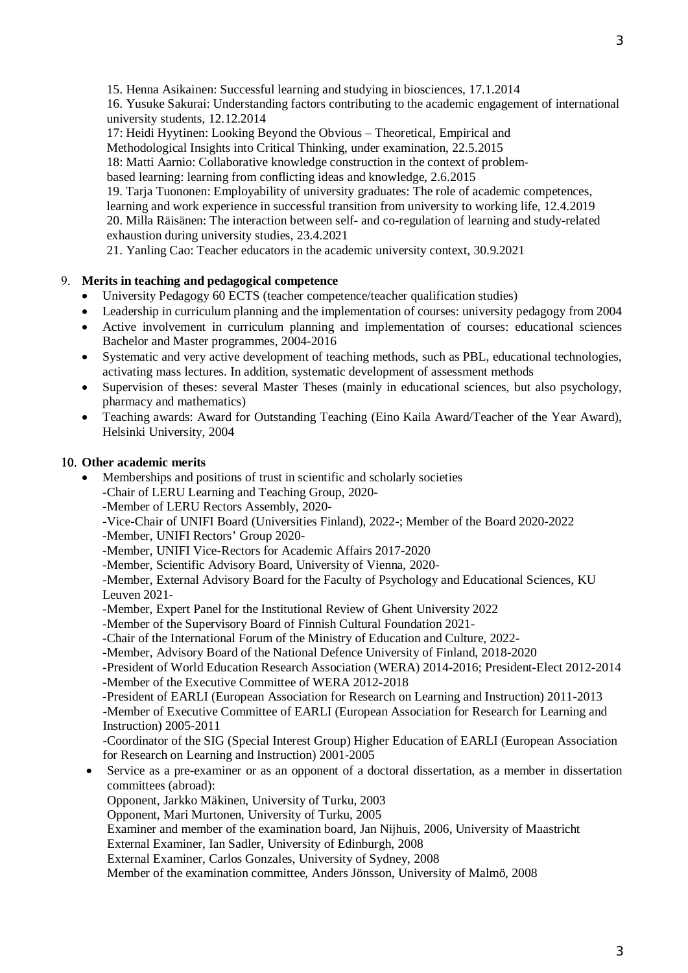15. Henna Asikainen: Successful learning and studying in biosciences, 17.1.2014

16. Yusuke Sakurai: Understanding factors contributing to the academic engagement of international university students, 12.12.2014

17: Heidi Hyytinen: Looking Beyond the Obvious – Theoretical, Empirical and

Methodological Insights into Critical Thinking, under examination, 22.5.2015

18: Matti Aarnio: Collaborative knowledge construction in the context of problem-

based learning: learning from conflicting ideas and knowledge, 2.6.2015

19. Tarja Tuononen: Employability of university graduates: The role of academic competences, learning and work experience in successful transition from university to working life, 12.4.2019 20. Milla Räisänen: The interaction between self- and co-regulation of learning and study-related exhaustion during university studies, 23.4.2021

21. Yanling Cao: Teacher educators in the academic university context, 30.9.2021

#### **Merits in teaching and pedagogical competence**

- University Pedagogy 60 ECTS (teacher competence/teacher qualification studies)
- Leadership in curriculum planning and the implementation of courses: university pedagogy from 2004
- Active involvement in curriculum planning and implementation of courses: educational sciences Bachelor and Master programmes, 2004-2016
- Systematic and very active development of teaching methods, such as PBL, educational technologies, activating mass lectures. In addition, systematic development of assessment methods
- Supervision of theses: several Master Theses (mainly in educational sciences, but also psychology, pharmacy and mathematics)
- Teaching awards: Award for Outstanding Teaching (Eino Kaila Award/Teacher of the Year Award), Helsinki University, 2004

#### **Other academic merits**

Memberships and positions of trust in scientific and scholarly societies

-Chair of LERU Learning and Teaching Group, 2020-

-Member of LERU Rectors Assembly, 2020-

-Vice-Chair of UNIFI Board (Universities Finland), 2022-; Member of the Board 2020-2022

-Member, UNIFI Rectors' Group 2020-

-Member, UNIFI Vice-Rectors for Academic Affairs 2017-2020

-Member, Scientific Advisory Board, University of Vienna, 2020-

-Member, External Advisory Board for the Faculty of Psychology and Educational Sciences, KU Leuven 2021-

-Member, Expert Panel for the Institutional Review of Ghent University 2022

-Member of the Supervisory Board of Finnish Cultural Foundation 2021-

-Chair of the International Forum of the Ministry of Education and Culture, 2022-

-Member, Advisory Board of the National Defence University of Finland, 2018-2020

-President of World Education Research Association (WERA) 2014-2016; President-Elect 2012-2014 -Member of the Executive Committee of WERA 2012-2018

-President of EARLI (European Association for Research on Learning and Instruction) 2011-2013 -Member of Executive Committee of EARLI (European Association for Research for Learning and Instruction) 2005-2011

-Coordinator of the SIG (Special Interest Group) Higher Education of EARLI (European Association for Research on Learning and Instruction) 2001-2005

 Service as a pre-examiner or as an opponent of a doctoral dissertation, as a member in dissertation committees (abroad):

Opponent, Jarkko Mäkinen, University of Turku, 2003

Opponent, Mari Murtonen, University of Turku, 2005

Examiner and member of the examination board, Jan Nijhuis, 2006, University of Maastricht

External Examiner, Ian Sadler, University of Edinburgh, 2008

External Examiner, Carlos Gonzales, University of Sydney, 2008

Member of the examination committee, Anders Jönsson, University of Malmö, 2008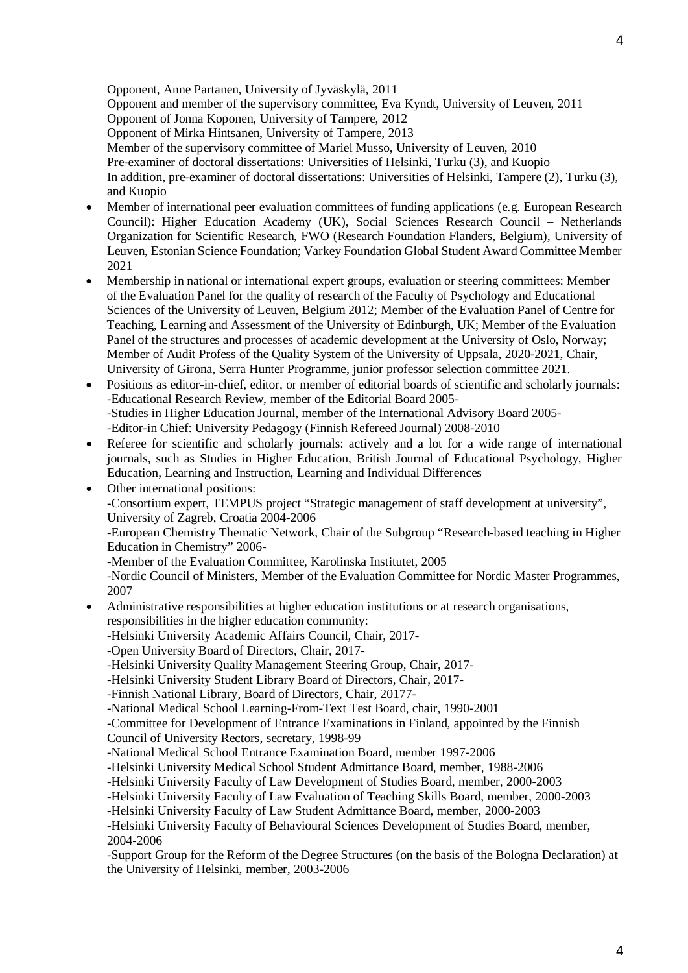Opponent, Anne Partanen, University of Jyväskylä, 2011 Opponent and member of the supervisory committee, Eva Kyndt, University of Leuven, 2011 Opponent of Jonna Koponen, University of Tampere, 2012 Opponent of Mirka Hintsanen, University of Tampere, 2013 Member of the supervisory committee of Mariel Musso, University of Leuven, 2010 Pre-examiner of doctoral dissertations: Universities of Helsinki, Turku (3), and Kuopio In addition, pre-examiner of doctoral dissertations: Universities of Helsinki, Tampere (2), Turku (3), and Kuopio

- Member of international peer evaluation committees of funding applications (e.g. European Research Council): Higher Education Academy (UK), Social Sciences Research Council – Netherlands Organization for Scientific Research, FWO (Research Foundation Flanders, Belgium), University of Leuven, Estonian Science Foundation; Varkey Foundation Global Student Award Committee Member 2021
- Membership in national or international expert groups, evaluation or steering committees: Member of the Evaluation Panel for the quality of research of the Faculty of Psychology and Educational Sciences of the University of Leuven, Belgium 2012; Member of the Evaluation Panel of Centre for Teaching, Learning and Assessment of the University of Edinburgh, UK; Member of the Evaluation Panel of the structures and processes of academic development at the University of Oslo, Norway; Member of Audit Profess of the Quality System of the University of Uppsala, 2020-2021, Chair, University of Girona, Serra Hunter Programme, junior professor selection committee 2021.
- Positions as editor-in-chief, editor, or member of editorial boards of scientific and scholarly journals: -Educational Research Review, member of the Editorial Board 2005- -Studies in Higher Education Journal, member of the International Advisory Board 2005- -Editor-in Chief: University Pedagogy (Finnish Refereed Journal) 2008-2010
- Referee for scientific and scholarly journals: actively and a lot for a wide range of international journals, such as Studies in Higher Education, British Journal of Educational Psychology, Higher Education, Learning and Instruction, Learning and Individual Differences
- Other international positions: -Consortium expert, TEMPUS project "Strategic management of staff development at university", University of Zagreb, Croatia 2004-2006

-European Chemistry Thematic Network, Chair of the Subgroup "Research-based teaching in Higher Education in Chemistry" 2006-

-Member of the Evaluation Committee, Karolinska Institutet, 2005

-Nordic Council of Ministers, Member of the Evaluation Committee for Nordic Master Programmes, 2007

 Administrative responsibilities at higher education institutions or at research organisations, responsibilities in the higher education community:

-Helsinki University Academic Affairs Council, Chair, 2017-

- -Open University Board of Directors, Chair, 2017-
- -Helsinki University Quality Management Steering Group, Chair, 2017-
- -Helsinki University Student Library Board of Directors, Chair, 2017-

-Finnish National Library, Board of Directors, Chair, 20177-

-National Medical School Learning-From-Text Test Board, chair, 1990-2001

-Committee for Development of Entrance Examinations in Finland, appointed by the Finnish Council of University Rectors, secretary, 1998-99

-National Medical School Entrance Examination Board, member 1997-2006

-Helsinki University Medical School Student Admittance Board, member, 1988-2006

-Helsinki University Faculty of Law Development of Studies Board, member, 2000-2003

-Helsinki University Faculty of Law Evaluation of Teaching Skills Board, member, 2000-2003

-Helsinki University Faculty of Law Student Admittance Board, member, 2000-2003

-Helsinki University Faculty of Behavioural Sciences Development of Studies Board, member, 2004-2006

-Support Group for the Reform of the Degree Structures (on the basis of the Bologna Declaration) at the University of Helsinki, member, 2003-2006